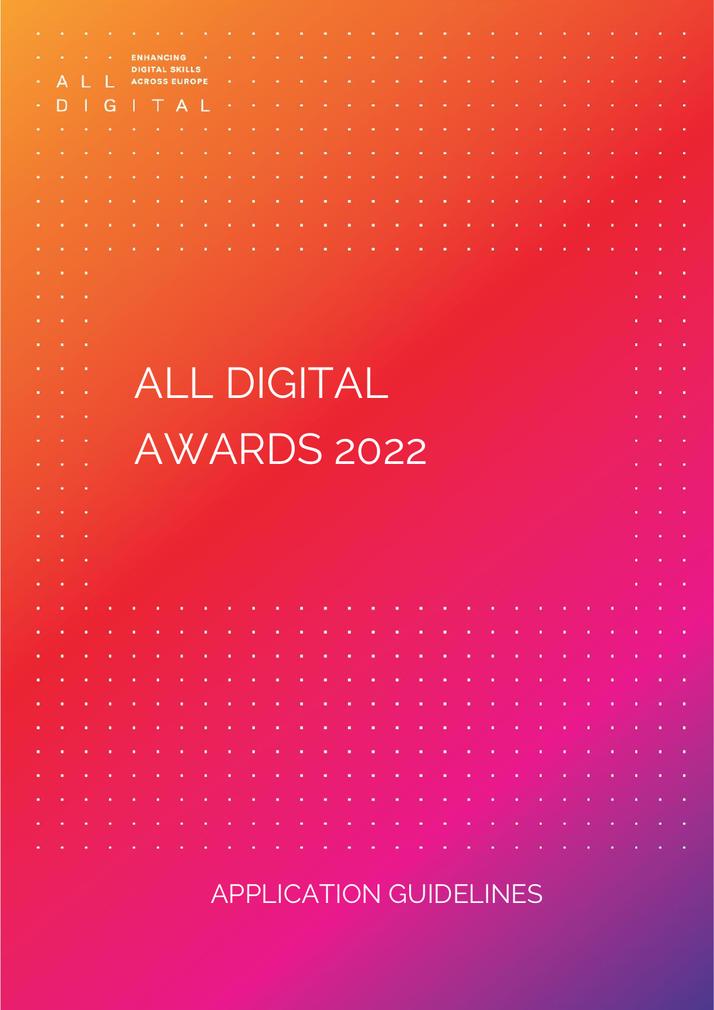|               |          |   |                   |                 | <b>ENHANCING</b>                              |  |                                                                                                                 |  |  |  |  |  |  |  |                               |                                   |                                                                                                                 |            |
|---------------|----------|---|-------------------|-----------------|-----------------------------------------------|--|-----------------------------------------------------------------------------------------------------------------|--|--|--|--|--|--|--|-------------------------------|-----------------------------------|-----------------------------------------------------------------------------------------------------------------|------------|
|               | А        |   |                   |                 | <b>DIGITAL SKILLS</b><br><b>ACROSS EUROPE</b> |  |                                                                                                                 |  |  |  |  |  |  |  |                               |                                   |                                                                                                                 |            |
|               | D        |   | G                 |                 |                                               |  |                                                                                                                 |  |  |  |  |  |  |  |                               |                                   |                                                                                                                 |            |
|               |          |   |                   |                 |                                               |  |                                                                                                                 |  |  |  |  |  |  |  |                               |                                   |                                                                                                                 |            |
|               |          |   |                   |                 |                                               |  |                                                                                                                 |  |  |  |  |  |  |  |                               |                                   |                                                                                                                 |            |
|               |          |   |                   |                 |                                               |  |                                                                                                                 |  |  |  |  |  |  |  |                               |                                   |                                                                                                                 |            |
|               |          |   |                   |                 |                                               |  |                                                                                                                 |  |  |  |  |  |  |  |                               |                                   |                                                                                                                 |            |
|               |          |   |                   |                 |                                               |  |                                                                                                                 |  |  |  |  |  |  |  |                               |                                   |                                                                                                                 |            |
|               |          |   |                   |                 |                                               |  |                                                                                                                 |  |  |  |  |  |  |  |                               |                                   |                                                                                                                 |            |
|               |          |   |                   |                 |                                               |  |                                                                                                                 |  |  |  |  |  |  |  |                               |                                   |                                                                                                                 |            |
|               |          |   |                   |                 |                                               |  |                                                                                                                 |  |  |  |  |  |  |  |                               |                                   |                                                                                                                 |            |
|               |          |   |                   |                 |                                               |  |                                                                                                                 |  |  |  |  |  |  |  |                               |                                   |                                                                                                                 |            |
|               |          |   |                   |                 |                                               |  |                                                                                                                 |  |  |  |  |  |  |  |                               |                                   |                                                                                                                 |            |
|               |          |   |                   |                 |                                               |  |                                                                                                                 |  |  |  |  |  |  |  |                               |                                   |                                                                                                                 |            |
|               |          |   |                   |                 |                                               |  | <b>ALL DIGITAL</b>                                                                                              |  |  |  |  |  |  |  |                               |                                   |                                                                                                                 |            |
|               |          |   |                   |                 |                                               |  |                                                                                                                 |  |  |  |  |  |  |  |                               |                                   |                                                                                                                 |            |
|               |          |   |                   |                 |                                               |  | AWARDS 2022                                                                                                     |  |  |  |  |  |  |  |                               |                                   |                                                                                                                 |            |
|               |          |   |                   |                 |                                               |  |                                                                                                                 |  |  |  |  |  |  |  |                               |                                   |                                                                                                                 |            |
|               |          |   |                   |                 |                                               |  |                                                                                                                 |  |  |  |  |  |  |  |                               |                                   |                                                                                                                 |            |
|               |          |   |                   |                 |                                               |  |                                                                                                                 |  |  |  |  |  |  |  |                               |                                   |                                                                                                                 |            |
|               |          |   |                   |                 |                                               |  |                                                                                                                 |  |  |  |  |  |  |  |                               |                                   |                                                                                                                 |            |
|               | また 一 またし | ٠ |                   |                 |                                               |  |                                                                                                                 |  |  |  |  |  |  |  |                               |                                   | <b>Business Artists</b>                                                                                         |            |
| $\bullet$ .   |          |   |                   |                 |                                               |  |                                                                                                                 |  |  |  |  |  |  |  |                               | $\mathbf{R}^{\mathrm{H}}$ and     | $\mathbf{H}^{\prime}$ and $\mathbf{H}^{\prime}$                                                                 |            |
| $\bullet$     |          |   |                   |                 |                                               |  |                                                                                                                 |  |  |  |  |  |  |  |                               |                                   | and a construction of the construction of the construction of the construction of the construction of the const |            |
| $\bullet$     | 30       |   | <b>CALCUM COM</b> |                 |                                               |  |                                                                                                                 |  |  |  |  |  |  |  |                               |                                   |                                                                                                                 |            |
| $\bullet$ .   |          |   |                   |                 |                                               |  |                                                                                                                 |  |  |  |  |  |  |  |                               |                                   | ROSA CORO A CORO A CORO A CORO A CORO A CASO A CASO A CASO A CORO A CORO A CORO A CORO A CORO A CASO            |            |
| <b>DOM: N</b> |          |   |                   |                 |                                               |  |                                                                                                                 |  |  |  |  |  |  |  |                               |                                   | a composition of the component of the composition of the component of the component of the component of the co  |            |
| ж.            |          |   |                   |                 |                                               |  |                                                                                                                 |  |  |  |  |  |  |  |                               |                                   | an dan anti-san dan bahasa dan bahasa dan bahasa dan bahasa dan bahasa dan bahasa dan bahasa dan bahasa dan ba  |            |
| <b>ALC</b>    |          |   |                   |                 |                                               |  |                                                                                                                 |  |  |  |  |  |  |  |                               |                                   | ROSA (1961) ESTADO A CARO A CORTORIO DE CASO A CORTORIO DE CASO A UNIVERSIDADE DE CASO EL CASO DE CASO DE       |            |
| $\bullet$ .   |          |   |                   |                 |                                               |  |                                                                                                                 |  |  |  |  |  |  |  |                               |                                   | and a company and a company of the company of the company of the company of the company of the company of the   |            |
| ж.            |          |   |                   |                 |                                               |  |                                                                                                                 |  |  |  |  |  |  |  |                               |                                   | and a constitution of the constitution of the constitution of the constitution of the constitution of the const |            |
| <b>ALC</b>    |          |   |                   |                 |                                               |  | and a complete that the complete the complete state of the complete the complete the complete state of the comp |  |  |  |  |  |  |  |                               |                                   |                                                                                                                 | $\sim 100$ |
| <b>COLL</b>   |          |   |                   |                 |                                               |  |                                                                                                                 |  |  |  |  |  |  |  |                               |                                   | and a constitution of the company of the company of the company of the company of the company of the company of |            |
| ж,            |          |   |                   | <b>ALC: UNK</b> | <b>ALC: UNK</b>                               |  | and the complete the state and there is a the complete that the complete the complete that                      |  |  |  |  |  |  |  | $\mathbf{0}$ and $\mathbf{0}$ | $\mathbf{R}^2$ and $\mathbf{R}^2$ |                                                                                                                 |            |

## APPLICATION GUIDELINES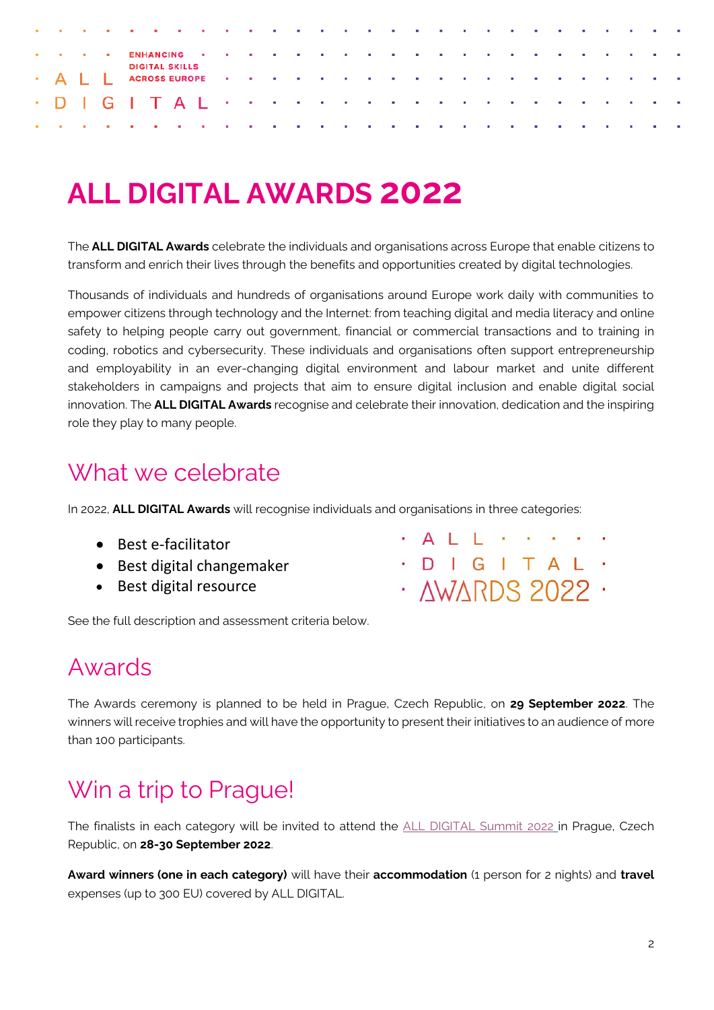| the contract of the contract of the contract of the contract of the contract of the contract of the contract of |  |  |                       |  |  |  |  |  |  |  |  |  |  |  |
|-----------------------------------------------------------------------------------------------------------------|--|--|-----------------------|--|--|--|--|--|--|--|--|--|--|--|
| The contract the ENHANGING of the contract of the contract of the contract of the contract of the contract of   |  |  |                       |  |  |  |  |  |  |  |  |  |  |  |
|                                                                                                                 |  |  | <b>DIGITAL SKILLS</b> |  |  |  |  |  |  |  |  |  |  |  |
|                                                                                                                 |  |  |                       |  |  |  |  |  |  |  |  |  |  |  |
|                                                                                                                 |  |  |                       |  |  |  |  |  |  |  |  |  |  |  |

# **ALL DIGITAL AWARDS 2022**

The **ALL DIGITAL Awards** celebrate the individuals and organisations across Europe that enable citizens to transform and enrich their lives through the benefits and opportunities created by digital technologies.

Thousands of individuals and hundreds of organisations around Europe work daily with communities to empower citizens through technology and the Internet: from teaching digital and media literacy and online safety to helping people carry out government, financial or commercial transactions and to training in coding, robotics and cybersecurity. These individuals and organisations often support entrepreneurship and employability in an ever-changing digital environment and labour market and unite different stakeholders in campaigns and projects that aim to ensure digital inclusion and enable digital social innovation. The **ALL DIGITAL Awards** recognise and celebrate their innovation, dedication and the inspiring role they play to many people.

## What we celebrate

In 2022, **ALL DIGITAL Awards** will recognise individuals and organisations in three categories:

- Best e-facilitator
- Best digital changemaker
- Best digital resource

See the full description and assessment criteria below.

### Awards

The Awards ceremony is planned to be held in Prague, Czech Republic, on **29 September 2022**. The winners will receive trophies and will have the opportunity to present their initiatives to an audience of more than 100 participants.

## Win a trip to Prague!

The finalists in each category will be invited to attend the [ALL DIGITAL Summit](https://summit.all-digital.org/) 2022 in Prague, Czech Republic, on **28-30 September 2022**.

**Award winners (one in each category)** will have their **accommodation** (1 person for 2 nights) and **travel** expenses (up to 300 EU) covered by ALL DIGITAL.

- **ALL** . . .
- · D I G I T A L ·
- · AWARDS 2022 ·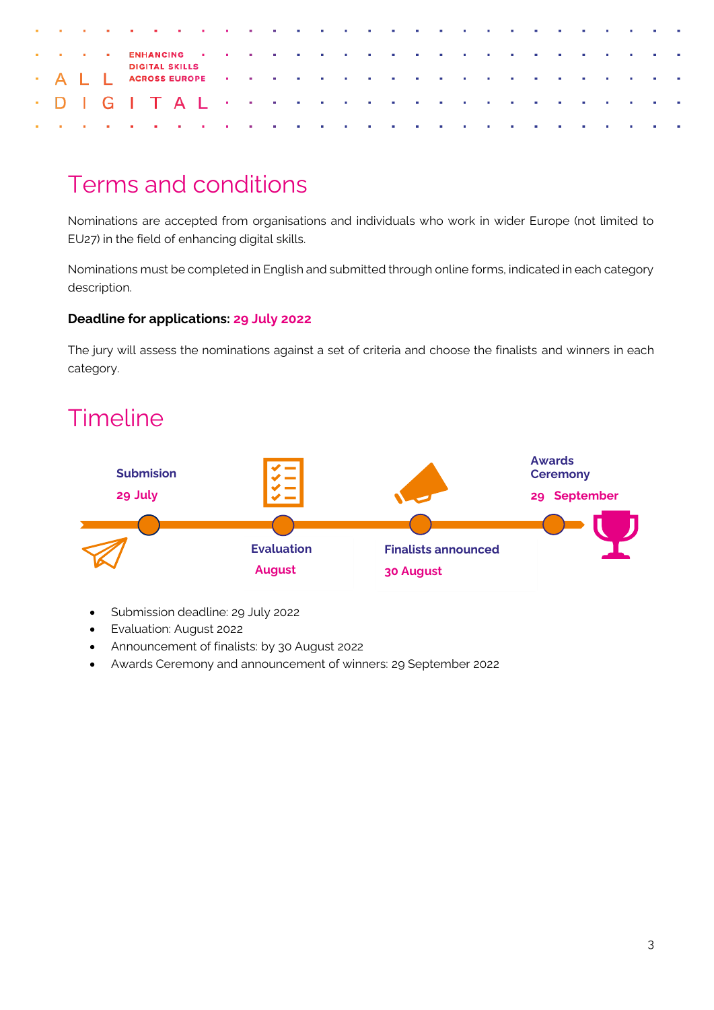| a construction of the construction of the construction of the construction of the construction of the construction                                                                                                            |  |                       |  |  |  |  |  |  |  |  |  |  |  |
|-------------------------------------------------------------------------------------------------------------------------------------------------------------------------------------------------------------------------------|--|-----------------------|--|--|--|--|--|--|--|--|--|--|--|
| The contract the ENHANCING of the contract of the contract of the contract of the contract of the contract of the contract of the contract of the contract of the contract of the contract of the contract of the contract of |  |                       |  |  |  |  |  |  |  |  |  |  |  |
|                                                                                                                                                                                                                               |  | <b>DIGITAL SKILLS</b> |  |  |  |  |  |  |  |  |  |  |  |
|                                                                                                                                                                                                                               |  |                       |  |  |  |  |  |  |  |  |  |  |  |
| a construction of the construction of the construction of the construction of the construction of the construction                                                                                                            |  |                       |  |  |  |  |  |  |  |  |  |  |  |

## Terms and conditions

Nominations are accepted from organisations and individuals who work in wider Europe (not limited to EU27) in the field of enhancing digital skills.

Nominations must be completed in English and submitted through online forms, indicated in each category description.

### **Deadline for applications: 29 July 2022**

The jury will assess the nominations against a set of criteria and choose the finalists and winners in each category.

## **Timeline**



- Submission deadline: 29 July 2022
- Evaluation: August 2022
- Announcement of finalists: by 30 August 2022
- Awards Ceremony and announcement of winners: 29 September 2022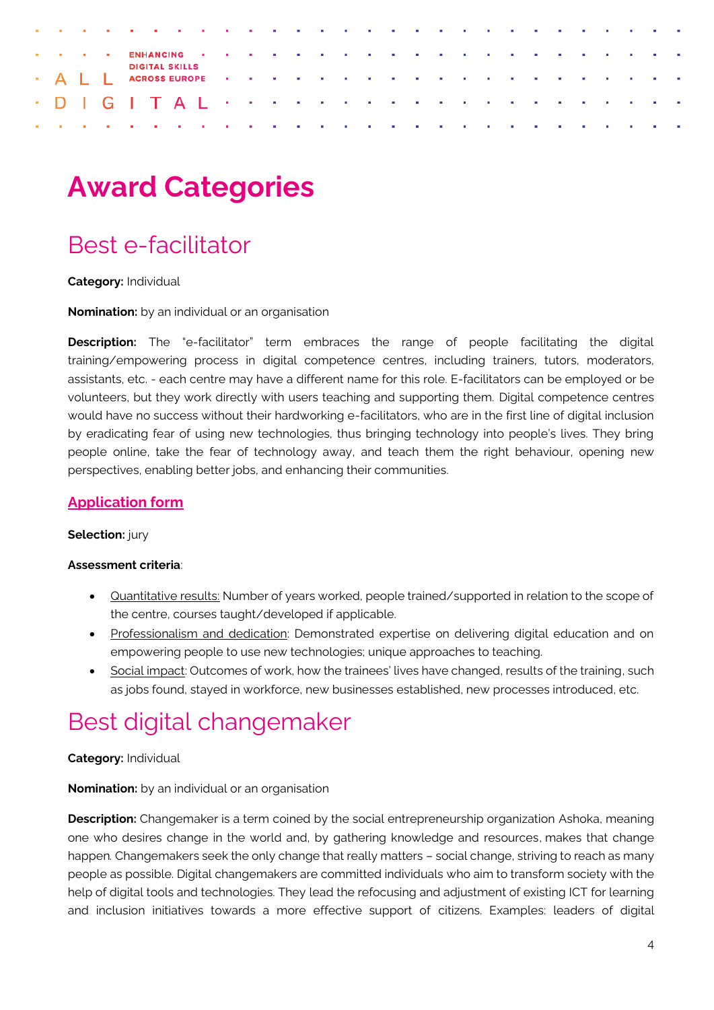|  |  | a constitution of the constitution of the constitution of the constitution of the constitution of the constitution |  |  |  |  |  |  |  |  |  |  |  |
|--|--|--------------------------------------------------------------------------------------------------------------------|--|--|--|--|--|--|--|--|--|--|--|
|  |  | The first tell ENHANGING in the first of the first tell of the first tell the first tell of the first tell of      |  |  |  |  |  |  |  |  |  |  |  |
|  |  | <b>DIGITAL SKILLS</b>                                                                                              |  |  |  |  |  |  |  |  |  |  |  |
|  |  |                                                                                                                    |  |  |  |  |  |  |  |  |  |  |  |
|  |  |                                                                                                                    |  |  |  |  |  |  |  |  |  |  |  |

# **Award Categories**

## Best e-facilitator

**Category:** Individual

**Nomination:** by an individual or an organisation

**Description:** The "e-facilitator" term embraces the range of people facilitating the digital training/empowering process in digital competence centres, including trainers, tutors, moderators, assistants, etc. - each centre may have a different name for this role. E-facilitators can be employed or be volunteers, but they work directly with users teaching and supporting them. Digital competence centres would have no success without their hardworking e-facilitators, who are in the first line of digital inclusion by eradicating fear of using new technologies, thus bringing technology into people's lives. They bring people online, take the fear of technology away, and teach them the right behaviour, opening new perspectives, enabling better jobs, and enhancing their communities.

### **[Application form](https://tceurope.wufoo.com/forms/all-digital-awards-2020-best-efacilitator/)**

#### **Selection:** jury

#### **Assessment criteria**:

- Quantitative results: Number of years worked, people trained/supported in relation to the scope of the centre, courses taught/developed if applicable.
- Professionalism and dedication: Demonstrated expertise on delivering digital education and on empowering people to use new technologies; unique approaches to teaching.
- Social impact: Outcomes of work, how the trainees' lives have changed, results of the training, such as jobs found, stayed in workforce, new businesses established, new processes introduced, etc.

### Best digital changemaker

### **Category:** Individual

**Nomination:** by an individual or an organisation

**Description:** Changemaker is a term coined by the social entrepreneurship organization Ashoka, meaning one who desires change in the world and, by gathering knowledge and resources, makes that change happen*.* Changemakers seek the only change that really matters – social change, striving to reach as many people as possible. Digital changemakers are committed individuals who aim to transform society with the help of digital tools and technologies. They lead the refocusing and adjustment of existing ICT for learning and inclusion initiatives towards a more effective support of citizens. Examples: leaders of digital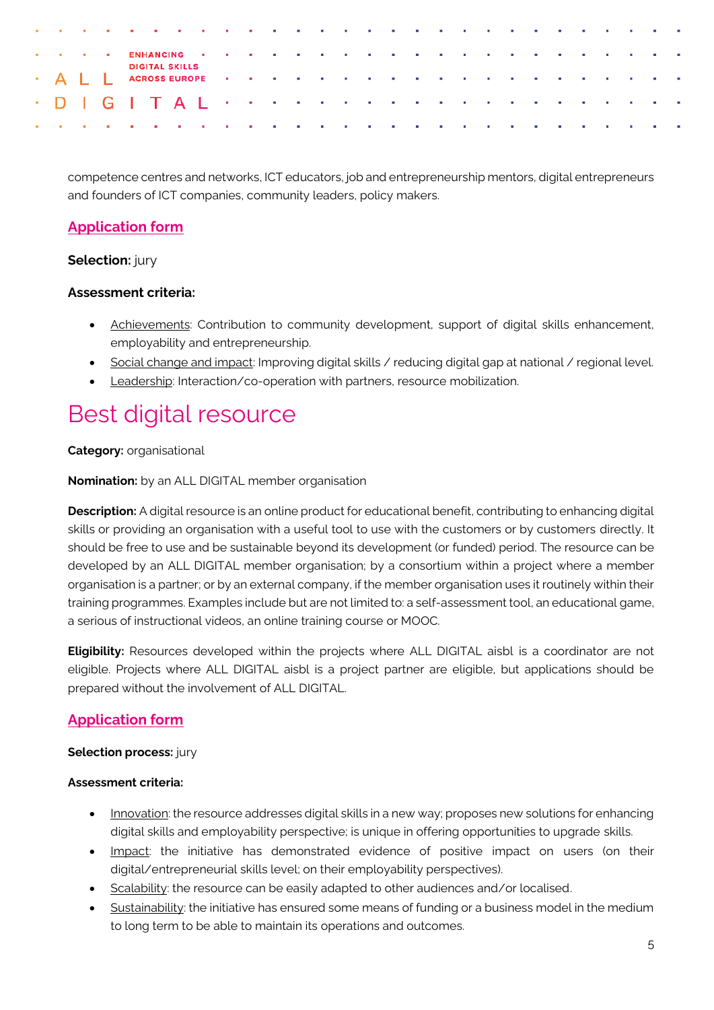|  |  | a constitution of the constitution of the constitution of the constitution of the constitution of the constitution of                                                                                                         |                       |  |  |  |  |  |  |  |  |  |  |  |
|--|--|-------------------------------------------------------------------------------------------------------------------------------------------------------------------------------------------------------------------------------|-----------------------|--|--|--|--|--|--|--|--|--|--|--|
|  |  | The contract the ENHANCING of the contract of the contract of the contract of the contract of the contract of the contract of the contract of the contract of the contract of the contract of the contract of the contract of |                       |  |  |  |  |  |  |  |  |  |  |  |
|  |  |                                                                                                                                                                                                                               | <b>DIGITAL SKILLS</b> |  |  |  |  |  |  |  |  |  |  |  |
|  |  |                                                                                                                                                                                                                               |                       |  |  |  |  |  |  |  |  |  |  |  |
|  |  | and a company of the company of the company of the company of the company of the company of the company of the                                                                                                                |                       |  |  |  |  |  |  |  |  |  |  |  |

competence centres and networks, ICT educators, job and entrepreneurship mentors, digital entrepreneurs and founders of ICT companies, community leaders, policy makers.

### **[Application form](https://tceurope.wufoo.com/forms/all-digital-awards-2020-best-digital-changemaker/)**

### **Selection:** jury

### **Assessment criteria:**

- Achievements: Contribution to community development, support of digital skills enhancement, employability and entrepreneurship.
- Social change and impact: Improving digital skills / reducing digital gap at national / regional level.
- Leadership: Interaction/co-operation with partners, resource mobilization.

## Best digital resource

### **Category:** organisational

**Nomination:** by an ALL DIGITAL member organisation

**Description:** A digital resource is an online product for educational benefit, contributing to enhancing digital skills or providing an organisation with a useful tool to use with the customers or by customers directly. It should be free to use and be sustainable beyond its development (or funded) period. The resource can be developed by an ALL DIGITAL member organisation; by a consortium within a project where a member organisation is a partner; or by an external company, if the member organisation uses it routinely within their training programmes. Examples include but are not limited to: a self-assessment tool, an educational game, a serious of instructional videos, an online training course or MOOC.

**Eligibility:** Resources developed within the projects where ALL DIGITAL aisbl is a coordinator are not eligible. Projects where ALL DIGITAL aisbl is a project partner are eligible, but applications should be prepared without the involvement of ALL DIGITAL.

### **[Application form](https://tceurope.wufoo.com/forms/all-digital-awards-2020-best-digital-resource/)**

### **Selection process:** jury

### **Assessment criteria:**

- Innovation: the resource addresses digital skills in a new way; proposes new solutions for enhancing digital skills and employability perspective; is unique in offering opportunities to upgrade skills.
- Impact: the initiative has demonstrated evidence of positive impact on users (on their digital/entrepreneurial skills level; on their employability perspectives).
- Scalability: the resource can be easily adapted to other audiences and/or localised.
- Sustainability: the initiative has ensured some means of funding or a business model in the medium to long term to be able to maintain its operations and outcomes.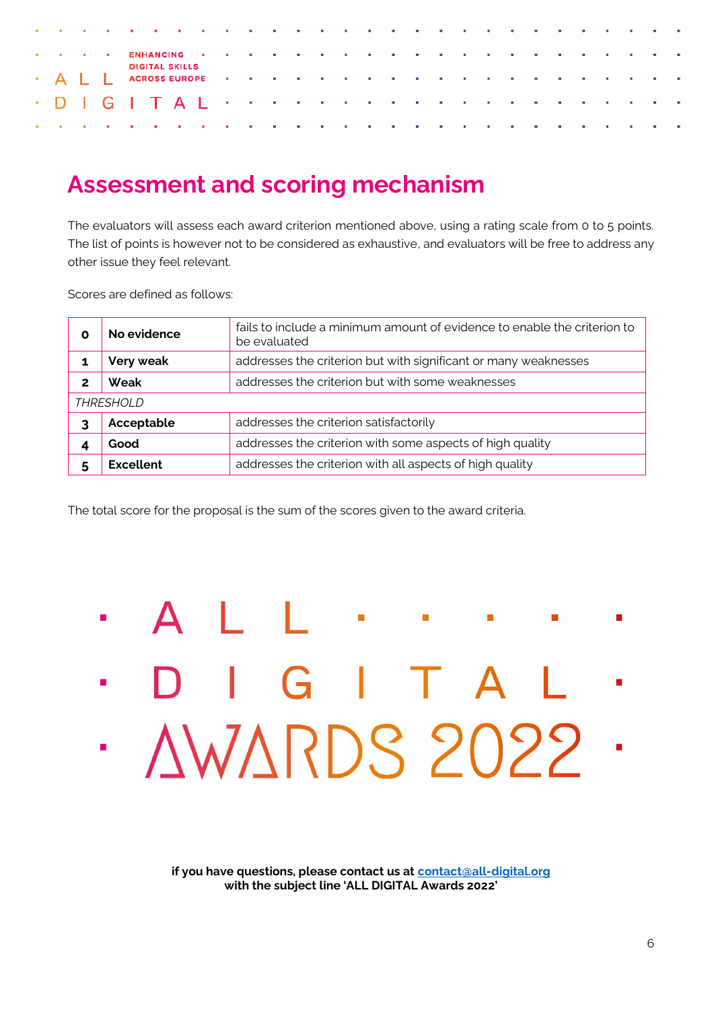| and a company of the company of the company of the company of the company of the company of the company of the |  |  |                       |  |  |  |  |  |  |  |  |  |  |  |
|----------------------------------------------------------------------------------------------------------------|--|--|-----------------------|--|--|--|--|--|--|--|--|--|--|--|
| The contract CENHANGING of the contract of the contract of the contract of the contract of the contract of the |  |  |                       |  |  |  |  |  |  |  |  |  |  |  |
|                                                                                                                |  |  | <b>DIGITAL SKILLS</b> |  |  |  |  |  |  |  |  |  |  |  |
|                                                                                                                |  |  |                       |  |  |  |  |  |  |  |  |  |  |  |
| and a company of the company of the company of the company of the company of the company of the company of the |  |  |                       |  |  |  |  |  |  |  |  |  |  |  |

### **Assessment and scoring mechanism**

The evaluators will assess each award criterion mentioned above, using a rating scale from 0 to 5 points. The list of points is however not to be considered as exhaustive, and evaluators will be free to address any other issue they feel relevant.

Scores are defined as follows:

| Ο | No evidence      | fails to include a minimum amount of evidence to enable the criterion to<br>be evaluated |
|---|------------------|------------------------------------------------------------------------------------------|
|   | Very weak        | addresses the criterion but with significant or many weaknesses                          |
| 2 | Weak             | addresses the criterion but with some weaknesses                                         |
|   | <b>THRESHOLD</b> |                                                                                          |
| 3 | Acceptable       | addresses the criterion satisfactorily                                                   |
|   | Good             | addresses the criterion with some aspects of high quality                                |
|   | Excellent        | addresses the criterion with all aspects of high quality                                 |

The total score for the proposal is the sum of the scores given to the award criteria.

## L.  $\mathbf{B}_{\rm eff}$ ò.  $IGI$ AWARDS 2022 51

**if you have questions, please contact us at [contact@all-digital.org](mailto:contact@all-digital.org) with the subject line 'ALL DIGITAL Awards 2022'**